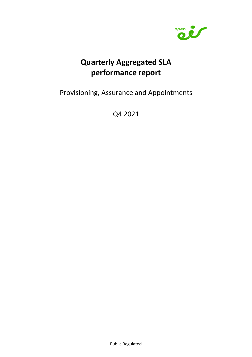

# **Quarterly Aggregated SLA performance report**

Provisioning, Assurance and Appointments

Q4 2021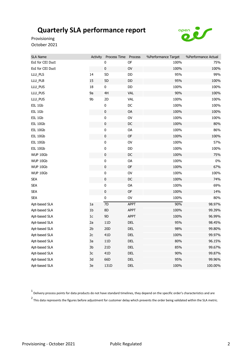

Provisioning October 2021

| <b>SLA Name</b>  | Activity       | Process Time Process |               | %Performance Target | %Performance Actual |
|------------------|----------------|----------------------|---------------|---------------------|---------------------|
| EoI for CEI Duct |                | 0                    | <b>OF</b>     | 100%                | 75%                 |
| EoI for CEI Duct |                | $\pmb{0}$            | OV            | 100%                | 100%                |
| LLU_PLS          | 14             | 5D                   | DD            | 95%                 | 99%                 |
| LLU_PLB          | 15             | 5D                   | DD            | 95%                 | 100%                |
| LLU_PUS          | 18             | 0                    | DD            | 100%                | 100%                |
| LLU_PUS          | 9a             | 4H                   | <b>VAL</b>    | 90%                 | 100%                |
| LLU_PUS          | 9b             | 2D                   | <b>VAL</b>    | 100%                | 100%                |
| EIL 1Gb          |                | 0                    | DC            | 100%                | 100%                |
| EIL 1Gb          |                | $\pmb{0}$            | OA            | 100%                | 100%                |
| EIL 1Gb          |                | $\pmb{0}$            | OV            | 100%                | 100%                |
| EIL 10Gb         |                | $\pmb{0}$            | DC            | 100%                | 80%                 |
| EIL 10Gb         |                | $\pmb{0}$            | OA            | 100%                | 86%                 |
| EIL 10Gb         |                | $\pmb{0}$            | OF            | 100%                | 100%                |
| EIL 10Gb         |                | $\pmb{0}$            | OV            | 100%                | 57%                 |
| EIL 10Gb         |                | 0                    | DD            | 100%                | 100%                |
| WUP 10Gb         |                | $\pmb{0}$            | $\mathsf{DC}$ | 100%                | 75%                 |
| WUP 10Gb         |                | $\pmb{0}$            | OA            | 100%                | $0\%$               |
| WUP 10Gb         |                | $\pmb{0}$            | OF            | 100%                | 67%                 |
| WUP 10Gb         |                | $\pmb{0}$            | OV            | 100%                | 100%                |
| <b>SEA</b>       |                | $\pmb{0}$            | DC            | 100%                | 74%                 |
| <b>SEA</b>       |                | 0                    | OA            | 100%                | 69%                 |
| <b>SEA</b>       |                | $\pmb{0}$            | OF            | 100%                | 14%                 |
| <b>SEA</b>       |                | $\pmb{0}$            | OV            | 100%                | 80%                 |
| Apt-based SLA    | 1a             | $\overline{7D}$      | <b>APPT</b>   | 90%                 | 98.97%              |
| Apt-based SLA    | 1 <sub>b</sub> | 8D                   | APPT          | 100%                | 99.39%              |
| Apt-based SLA    | $1\mathrm{c}$  | 9D                   | APPT          | 100%                | 96.99%              |
| Apt-based SLA    | 2a             | 11D                  | <b>DEL</b>    | 95%                 | 98.45%              |
| Apt-based SLA    | 2 <sub>b</sub> | 20D                  | <b>DEL</b>    | 98%                 | 99.80%              |
| Apt-based SLA    | $2\mathsf{c}$  | 41 <sub>D</sub>      | DEL           | 100%                | 99.97%              |
| Apt-based SLA    | 3a             | 11D                  | DEL           | 80%                 | 96.15%              |
| Apt-based SLA    | 3b             | 21D                  | DEL           | 85%                 | 99.67%              |
| Apt-based SLA    | 3c             | 41 <sub>D</sub>      | DEL           | 90%                 | 99.87%              |
| Apt-based SLA    | 3d             | 66D                  | DEL           | 95%                 | 99.96%              |
| Apt-based SLA    | 3e             | 131D                 | DEL           | 100%                | 100.00%             |

 $^1$  Delivery process points for data products do not have standard timelines, they depend on the specific order's characteristics and are

2 This data represents the figures before adjustment for customer delay which prevents the order being validated within the SLA metric.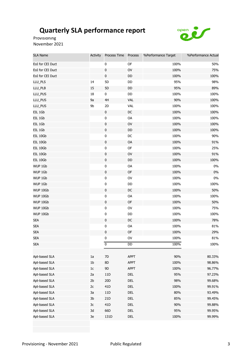

Provisioning November 2021

| <b>SLA Name</b>  | Activity       | Process Time    | Process    | %Performance Target | %Performance Actual |
|------------------|----------------|-----------------|------------|---------------------|---------------------|
| EoI for CEI Duct |                | 0               | OF         | 100%                | 50%                 |
| EoI for CEI Duct |                | $\pmb{0}$       | OV         | 100%                | 75%                 |
| EoI for CEI Duct |                | $\pmb{0}$       | DD         | 100%                | 100%                |
| LLU_PLS          | 14             | 5D              | DD         | 95%                 | 98%                 |
| LLU_PLB          | 15             | 5D              | DD         | 95%                 | 89%                 |
| LLU_PUS          | 18             | 0               | DD         | 100%                | 100%                |
| LLU_PUS          | 9a             | 4H              | <b>VAL</b> | 90%                 | 100%                |
| LLU_PUS          | 9b             | 2D              | <b>VAL</b> | 100%                | 100%                |
| EIL 1Gb          |                | $\pmb{0}$       | DC         | 100%                | 100%                |
| EIL 1Gb          |                | $\pmb{0}$       | OA         | 100%                | 100%                |
| EIL 1Gb          |                | $\pmb{0}$       | OV         | 100%                | 100%                |
| EIL 1Gb          |                | $\pmb{0}$       | DD         | 100%                | 100%                |
| EIL 10Gb         |                | $\pmb{0}$       | $DC$       | 100%                | 90%                 |
| EIL 10Gb         |                | $\pmb{0}$       | OA         | 100%                | 91%                 |
| EIL 10Gb         |                | $\pmb{0}$       | OF         | 100%                | 25%                 |
| EIL 10Gb         |                | $\pmb{0}$       | OV         | 100%                | 91%                 |
| EIL 10Gb         |                | $\pmb{0}$       | DD         | 100%                | 100%                |
| WUP 1Gb          |                | $\pmb{0}$       | OA         | 100%                | $0\%$               |
| WUP 1Gb          |                | $\pmb{0}$       | OF         | 100%                | 0%                  |
| WUP 1Gb          |                | 0               | OV         | 100%                | $0\%$               |
| WUP 1Gb          |                | $\pmb{0}$       | DD         | 100%                | 100%                |
| WUP 10Gb         |                | $\pmb{0}$       | DC         | 100%                | 50%                 |
| WUP 10Gb         |                | $\pmb{0}$       | OA         | 100%                | 100%                |
| WUP 10Gb         |                | $\pmb{0}$       | OF         | 100%                | 50%                 |
| WUP 10Gb         |                | 0               | OV         | 100%                | 75%                 |
| WUP 10Gb         |                | $\pmb{0}$       | DD         | 100%                | 100%                |
| <b>SEA</b>       |                | $\pmb{0}$       | DC         | 100%                | 78%                 |
| <b>SEA</b>       |                | 0               | OA         | 100%                | 81%                 |
| <b>SEA</b>       |                | $\pmb{0}$       | OF         | 100%                | 29%                 |
| <b>SEA</b>       |                | $\pmb{0}$       | OV         | 100%                | 81%                 |
| <b>SEA</b>       |                | 0               | DD         | 100%                | 100%                |
|                  |                |                 |            |                     |                     |
| Apt-based SLA    | 1a             | $7\mathsf{D}$   | APPT       | 90%                 | 80.33%              |
| Apt-based SLA    | 1 <sub>b</sub> | $8\mathsf{D}$   | APPT       | 100%                | 98.86%              |
| Apt-based SLA    | $1\mathrm{c}$  | 9D              | APPT       | 100%                | 96.77%              |
| Apt-based SLA    | 2a             | 11D             | DEL        | 95%                 | 97.23%              |
| Apt-based SLA    | 2 <sub>b</sub> | 20 <sub>D</sub> | <b>DEL</b> | 98%                 | 99.68%              |
| Apt-based SLA    | 2c             | 41D             | DEL        | 100%                | 99.91%              |
| Apt-based SLA    | 3a             | $11D$           | <b>DEL</b> | 80%                 | 93.49%              |
| Apt-based SLA    | 3 <sub>b</sub> | 21D             | <b>DEL</b> | 85%                 | 99.45%              |
| Apt-based SLA    | 3c             | 41D             | DEL        | 90%                 | 99.88%              |
| Apt-based SLA    | 3d             | 66D             | <b>DEL</b> | 95%                 | 99.95%              |
| Apt-based SLA    | 3e             | 131D            | <b>DEL</b> | 100%                | 99.99%              |
|                  |                |                 |            |                     |                     |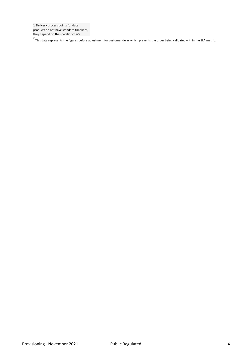1 Delivery process points for data products do not have standard timelines, they depend on the specific order's

2 This data represents the figures before adjustment for customer delay which prevents the order being validated within the SLA metric.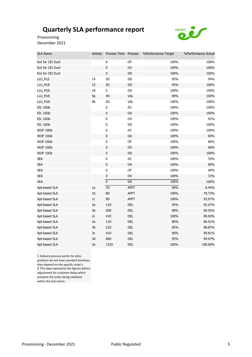

Provisioning December 2021

| <b>SLA Name</b>  | <b>Activity</b> | Process Time Process      |               | %Performance Target | %Performance Actual |
|------------------|-----------------|---------------------------|---------------|---------------------|---------------------|
| EoI for CEI Duct |                 | 0                         | OF            | 100%                | 100%                |
| EoI for CEI Duct |                 | $\pmb{0}$                 | OV            | 100%                | 100%                |
| EoI for CEI Duct |                 | $\pmb{0}$                 | DD            | 100%                | 100%                |
| LLU_PLS          | 14              | 5D                        | DD            | 95%                 | 94%                 |
| LLU_PLB          | 15              | 5D                        | DD            | 95%                 | 100%                |
| LLU_PUS          | 18              | 0                         | DD            | 100%                | 100%                |
| LLU_PUS          | 9a              | 4H                        | VAL           | 90%                 | 100%                |
| LLU_PUS          | 9b              | 2D                        | <b>VAL</b>    | 100%                | 100%                |
| EIL 10Gb         |                 | 0                         | DC            | 100%                | 100%                |
| EIL 10Gb         |                 | $\pmb{0}$                 | OA            | 100%                | 100%                |
| EIL 10Gb         |                 | $\pmb{0}$                 | $\mathsf{OV}$ | 100%                | 92%                 |
| EIL 10Gb         |                 | $\pmb{0}$                 | DD            | 100%                | 100%                |
| WUP 10Gb         |                 | $\pmb{0}$                 | DC            | 100%                | 100%                |
| WUP 10Gb         |                 | $\pmb{0}$                 | OA            | 100%                | 60%                 |
| WUP 10Gb         |                 | $\pmb{0}$                 | OF            | 100%                | 80%                 |
| WUP 10Gb         |                 | $\pmb{0}$                 | OV            | 100%                | 60%                 |
| WUP 10Gb         |                 | $\mathbf 0$               | DD            | 100%                | 100%                |
| <b>SEA</b>       |                 | $\pmb{0}$                 | DC            | 100%                | 70%                 |
| <b>SEA</b>       |                 | $\pmb{0}$                 | OA            | 100%                | 90%                 |
| <b>SEA</b>       |                 | $\pmb{0}$                 | OF            | 100%                | 40%                 |
| <b>SEA</b>       |                 | $\pmb{0}$                 | OV            | 100%                | 72%                 |
| <b>SEA</b>       |                 | $\overline{\mathfrak{o}}$ | DD            | 100%                | 100%                |
| Apt-based SLA    | 1a              | $\overline{7D}$           | <b>APPT</b>   | 90%                 | 8.44%               |
| Apt-based SLA    | 1 <sub>b</sub>  | 8D                        | APPT          | 100%                | 79.73%              |
| Apt-based SLA    | $1\mathrm{c}$   | 9D                        | <b>APPT</b>   | 100%                | 93.97%              |
| Apt-based SLA    | 2a              | 11D                       | DEL           | 95%                 | 92.67%              |
| Apt-based SLA    | 2 <sub>b</sub>  | 20D                       | DEL           | 98%                 | 99.55%              |
| Apt-based SLA    | 2c              | 41 <sub>D</sub>           | DEL           | 100%                | 99.93%              |
| Apt-based SLA    | 3a              | 11D                       | DEL           | 80%                 | 86.51%              |
| Apt-based SLA    | 3b              | 21 <sub>D</sub>           | DEL           | 85%                 | 98.87%              |
| Apt-based SLA    | 3c              | 41 <sub>D</sub>           | DEL           | 90%                 | 99.81%              |
| Apt-based SLA    | 3d              | 66D                       | <b>DEL</b>    | 95%                 | 99.97%              |
| Apt-based SLA    | 3e              | 131D                      | <b>DEL</b>    | 100%                | 100.00%             |

1 Delivery process points for data products do not have standard timelines, they depend on the specific order's 2 This data represents the figures before adjustment for customer delay which prevents the order being validated within the SLA metric.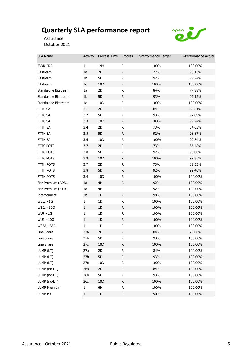

Assurance October 2021

| <b>SLA Name</b>      | Activity        | Process Time Process |              | %Performance Target | %Performance Actual |
|----------------------|-----------------|----------------------|--------------|---------------------|---------------------|
| ISDN-PRA             | $\mathbf{1}$    | 14H                  | R            | 100%                | 100.00%             |
| <b>Bitstream</b>     | 1a              | 2D                   | ${\sf R}$    | 77%                 | 90.15%              |
| <b>Bitstream</b>     | 1b              | 5D                   | R            | 92%                 | 99.24%              |
| <b>Bitstream</b>     | 1 <sub>c</sub>  | 10 <sub>D</sub>      | $\mathsf{R}$ | 100%                | 100.00%             |
| Standalone Bitstream | 1a              | 2D                   | R            | 84%                 | 77.88%              |
| Standalone Bitstream | 1 <sub>b</sub>  | 5D                   | $\mathsf R$  | 93%                 | 97.12%              |
| Standalone Bitstream | 1 <sub>c</sub>  | 10D                  | R            | 100%                | 100.00%             |
| <b>FTTC SA</b>       | 3.1             | 2D                   | R            | 84%                 | 85.61%              |
| FTTC SA              | 3.2             | 5D                   | R            | 93%                 | 97.89%              |
| FTTC SA              | 3.3             | 10 <sub>D</sub>      | R            | 100%                | 99.24%              |
| FTTH SA              | 3.4             | 2D                   | R            | 73%                 | 84.03%              |
| FTTH SA              | 3.5             | 5D                   | $\mathsf R$  | 92%                 | 98.87%              |
| FTTH SA              | 3.6             | 10D                  | R            | 100%                | 99.84%              |
| FTTC POTS            | 3.7             | 2D                   | $\mathsf{R}$ | 73%                 | 86.48%              |
| FTTC POTS            | 3.8             | 5D                   | R            | 92%                 | 98.00%              |
| <b>FTTC POTS</b>     | 3.9             | 10 <sub>D</sub>      | R            | 100%                | 99.85%              |
| FTTH POTS            | 3.7             | 2D                   | R            | 73%                 | 82.53%              |
| FTTH POTS            | 3.8             | 5D                   | ${\sf R}$    | 92%                 | 99.40%              |
| FTTH POTS            | 3.9             | 10 <sub>D</sub>      | R            | 100%                | 100.00%             |
| 8Hr Premium (ADSL)   | 1a              | 4H                   | R            | 92%                 | 100.00%             |
| 8Hr Premium (FTTC)   | 1a              | 4H                   | R            | 92%                 | 100.00%             |
| Interconnect         | 2 <sub>b</sub>  | 1D                   | R            | 98%                 | 100.00%             |
| WEIL - 1G            | $\mathbf{1}$    | 1D                   | R            | 100%                | 100.00%             |
| <b>WEIL - 10G</b>    | $1\,$           | 1D                   | R            | 100%                | 100.00%             |
| <b>WUP - 1G</b>      | $\mathbf{1}$    | 1D                   | R            | 100%                | 100.00%             |
| <b>WUP - 10G</b>     | $\mathbf{1}$    | 1D                   | $\mathsf{R}$ | 100%                | 100.00%             |
| <b>WSEA - SEA</b>    | $\mathbf{1}$    | 1D                   | R            | 100%                | 100.00%             |
| Line Share           | 27a             | 2D                   | R            | 84%                 | 75.00%              |
| Line Share           | 27 <sub>b</sub> | 5D                   | R            | 93%                 | 100.00%             |
| Line Share           | 27c             | 10D                  | ${\sf R}$    | 100%                | 100.00%             |
| ULMP (LT)            | 27a             | 2D                   | R            | 84%                 | 100.00%             |
| ULMP (LT)            | 27 <sub>b</sub> | 5D                   | ${\sf R}$    | 93%                 | 100.00%             |
| ULMP (LT)            | 27c             | 10 <sub>D</sub>      | ${\sf R}$    | 100%                | 100.00%             |
| ULMP (no-LT)         | 26a             | 2D                   | R            | 84%                 | 100.00%             |
| ULMP (no-LT)         | 26 <sub>b</sub> | 5D                   | R            | 93%                 | 100.00%             |
| ULMP (no-LT)         | 26c             | 10 <sub>D</sub>      | R            | 100%                | 100.00%             |
| <b>ULMP Premium</b>  | 1               | 6H                   | R            | 100%                | 100.00%             |
| <b>ULMP PR</b>       | $\mathbf{1}$    | $1\mathsf{D}$        | ${\sf R}$    | 90%                 | 100.00%             |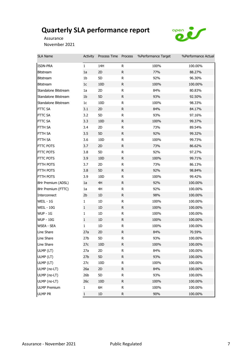

Assurance November 2021

| SLA Name             | Activity        | Process Time Process |              | %Performance Target | %Performance Actual |
|----------------------|-----------------|----------------------|--------------|---------------------|---------------------|
| ISDN-PRA             | $\mathbf{1}$    | 14H                  | R            | 100%                | 100.00%             |
| <b>Bitstream</b>     | 1a              | 2D                   | R            | 77%                 | 88.27%              |
| <b>Bitstream</b>     | 1 <sub>b</sub>  | 5D                   | R            | 92%                 | 96.30%              |
| <b>Bitstream</b>     | 1 <sub>c</sub>  | 10D                  | $\mathsf{R}$ | 100%                | 100.00%             |
| Standalone Bitstream | 1a              | 2D                   | R            | 84%                 | 80.83%              |
| Standalone Bitstream | 1 <sub>b</sub>  | 5D                   | R            | 93%                 | 92.50%              |
| Standalone Bitstream | 1 <sub>c</sub>  | 10D                  | $\mathsf R$  | 100%                | 98.33%              |
| <b>FTTC SA</b>       | 3.1             | 2D                   | R            | 84%                 | 84.17%              |
| FTTC SA              | 3.2             | 5D                   | R            | 93%                 | 97.16%              |
| FTTC SA              | 3.3             | 10D                  | R            | 100%                | 99.37%              |
| FTTH SA              | 3.4             | 2D                   | R            | 73%                 | 89.54%              |
| FTTH SA              | 3.5             | 5D                   | R            | 92%                 | 99.32%              |
| FTTH SA              | 3.6             | 10D                  | R            | 100%                | 99.73%              |
| FTTC POTS            | 3.7             | 2D                   | R            | 73%                 | 86.62%              |
| <b>FTTC POTS</b>     | 3.8             | 5D                   | R            | 92%                 | 97.27%              |
| FTTC POTS            | 3.9             | 10D                  | R            | 100%                | 99.71%              |
| FTTH POTS            | 3.7             | 2D                   | R            | 73%                 | 86.13%              |
| FTTH POTS            | 3.8             | 5D                   | R            | 92%                 | 98.84%              |
| FTTH POTS            | 3.9             | 10D                  | R            | 100%                | 99.42%              |
| 8Hr Premium (ADSL)   | 1a              | 4H                   | R            | 92%                 | 100.00%             |
| 8Hr Premium (FTTC)   | 1a              | 4H                   | R            | 92%                 | 100.00%             |
| Interconnect         | 2 <sub>b</sub>  | 1D                   | R            | 98%                 | 100.00%             |
| WEIL - 1G            | $\mathbf{1}$    | 1D                   | R            | 100%                | 100.00%             |
| <b>WEIL - 10G</b>    | $\mathbf{1}$    | 1D                   | R            | 100%                | 100.00%             |
| <b>WUP - 1G</b>      | $\mathbf{1}$    | 1D                   | R            | 100%                | 100.00%             |
| <b>WUP - 10G</b>     | $\mathbf{1}$    | 1D                   | $\mathsf{R}$ | 100%                | 100.00%             |
| WSEA - SEA           | $\mathbf{1}$    | 1D                   | R            | 100%                | 100.00%             |
| Line Share           | 27a             | 2D                   | R            | 84%                 | 70.59%              |
| Line Share           | 27 <sub>b</sub> | 5D                   | R            | 93%                 | 100.00%             |
| Line Share           | 27c             | 10D                  | R            | 100%                | 100.00%             |
| ULMP (LT)            | 27a             | 2D                   | R            | 84%                 | 100.00%             |
| ULMP (LT)            | 27 <sub>b</sub> | 5D                   | R            | 93%                 | 100.00%             |
| ULMP (LT)            | 27c             | 10D                  | R            | 100%                | 100.00%             |
| ULMP (no-LT)         | 26a             | 2D                   | R            | 84%                 | 100.00%             |
| ULMP (no-LT)         | 26 <sub>b</sub> | 5D                   | R            | 93%                 | 100.00%             |
| ULMP (no-LT)         | 26c             | 10D                  | R            | 100%                | 100.00%             |
| <b>ULMP Premium</b>  | 1               | 6H                   | R            | 100%                | 100.00%             |
| <b>ULMP PR</b>       | $\mathbf{1}$    | $1\text{D}$          | R            | 90%                 | 100.00%             |